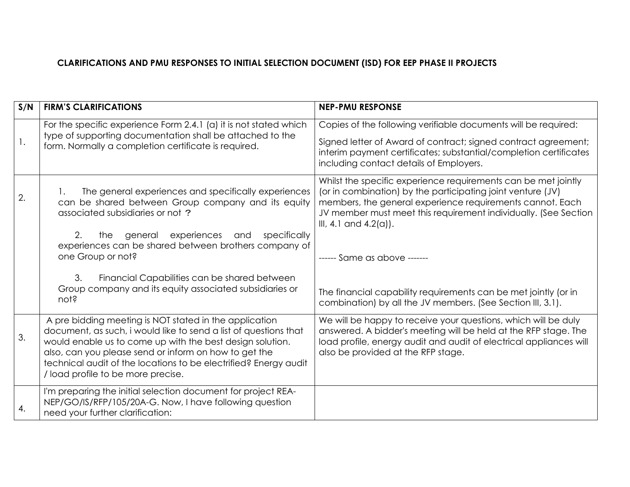## **CLARIFICATIONS AND PMU RESPONSES TO INITIAL SELECTION DOCUMENT (ISD) FOR EEP PHASE II PROJECTS**

| S/N            | <b>FIRM'S CLARIFICATIONS</b>                                                                                                                                                                                                                                                                                                                                                                                | <b>NEP-PMU RESPONSE</b>                                                                                                                                                                                                                                                                                                                                                                        |
|----------------|-------------------------------------------------------------------------------------------------------------------------------------------------------------------------------------------------------------------------------------------------------------------------------------------------------------------------------------------------------------------------------------------------------------|------------------------------------------------------------------------------------------------------------------------------------------------------------------------------------------------------------------------------------------------------------------------------------------------------------------------------------------------------------------------------------------------|
| $\mathbf{1}$ . | For the specific experience Form 2.4.1 (a) it is not stated which<br>type of supporting documentation shall be attached to the<br>form. Normally a completion certificate is required.                                                                                                                                                                                                                      | Copies of the following verifiable documents will be required:<br>Signed letter of Award of contract; signed contract agreement;<br>interim payment certificates; substantial/completion certificates<br>including contact details of Employers.                                                                                                                                               |
| 2.             | The general experiences and specifically experiences<br>can be shared between Group company and its equity<br>associated subsidiaries or not ?<br>specifically<br>2.<br>experiences<br>general<br>and<br>the<br>experiences can be shared between brothers company of<br>one Group or not?<br>Financial Capabilities can be shared between<br>3.<br>Group company and its equity associated subsidiaries or | Whilst the specific experience requirements can be met jointly<br>(or in combination) by the participating joint venture (JV)<br>members, the general experience requirements cannot. Each<br>JV member must meet this requirement individually. (See Section<br>$III, 4.1$ and $4.2($ a)).<br>------ Same as above -------<br>The financial capability requirements can be met jointly (or in |
|                | not?                                                                                                                                                                                                                                                                                                                                                                                                        | combination) by all the JV members. (See Section III, 3.1).                                                                                                                                                                                                                                                                                                                                    |
| 3.             | A pre bidding meeting is NOT stated in the application<br>document, as such, i would like to send a list of questions that<br>would enable us to come up with the best design solution.<br>also, can you please send or inform on how to get the<br>technical audit of the locations to be electrified? Energy audit<br>/ load profile to be more precise.                                                  | We will be happy to receive your questions, which will be duly<br>answered. A bidder's meeting will be held at the RFP stage. The<br>load profile, energy audit and audit of electrical appliances will<br>also be provided at the RFP stage.                                                                                                                                                  |
| 4.             | I'm preparing the initial selection document for project REA-<br>NEP/GO/IS/RFP/105/20A-G. Now, I have following question<br>need your further clarification:                                                                                                                                                                                                                                                |                                                                                                                                                                                                                                                                                                                                                                                                |